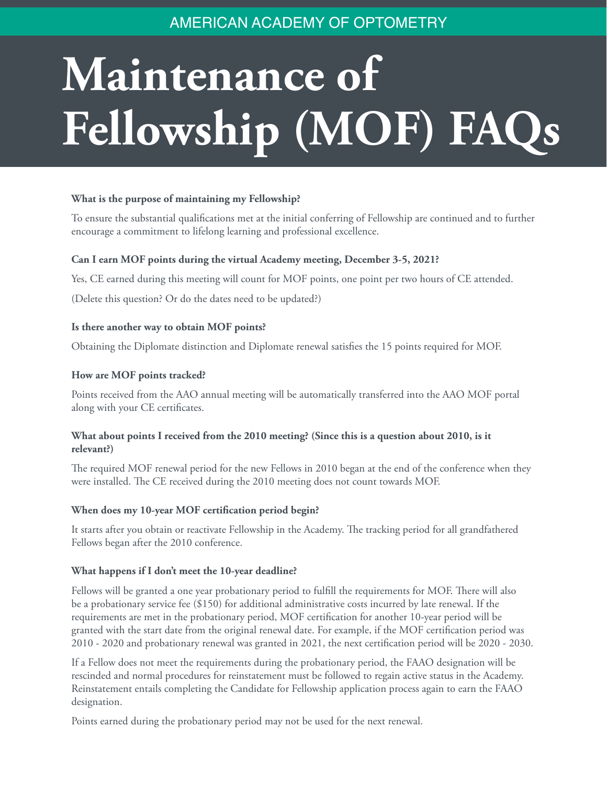# AMERICAN ACADEMY OF OPTOMETRY

# **Maintenance of Fellowship (MOF) FAQs**

# **What is the purpose of maintaining my Fellowship?**

To ensure the substantial qualifications met at the initial conferring of Fellowship are continued and to further encourage a commitment to lifelong learning and professional excellence.

# **Can I earn MOF points during the virtual Academy meeting, December 3-5, 2021?**

Yes, CE earned during this meeting will count for MOF points, one point per two hours of CE attended.

(Delete this question? Or do the dates need to be updated?)

#### **Is there another way to obtain MOF points?**

Obtaining the Diplomate distinction and Diplomate renewal satisfies the 15 points required for MOF.

#### **How are MOF points tracked?**

Points received from the AAO annual meeting will be automatically transferred into the AAO MOF portal along with your CE certificates.

# **What about points I received from the 2010 meeting? (Since this is a question about 2010, is it relevant?)**

The required MOF renewal period for the new Fellows in 2010 began at the end of the conference when they were installed. The CE received during the 2010 meeting does not count towards MOF.

#### **When does my 10-year MOF certification period begin?**

It starts after you obtain or reactivate Fellowship in the Academy. The tracking period for all grandfathered Fellows began after the 2010 conference.

#### **What happens if I don't meet the 10-year deadline?**

Fellows will be granted a one year probationary period to fulfill the requirements for MOF. There will also be a probationary service fee (\$150) for additional administrative costs incurred by late renewal. If the requirements are met in the probationary period, MOF certification for another 10-year period will be granted with the start date from the original renewal date. For example, if the MOF certification period was 2010 - 2020 and probationary renewal was granted in 2021, the next certification period will be 2020 - 2030.

If a Fellow does not meet the requirements during the probationary period, the FAAO designation will be rescinded and normal procedures for reinstatement must be followed to regain active status in the Academy. Reinstatement entails completing the Candidate for Fellowship application process again to earn the FAAO designation.

Points earned during the probationary period may not be used for the next renewal.